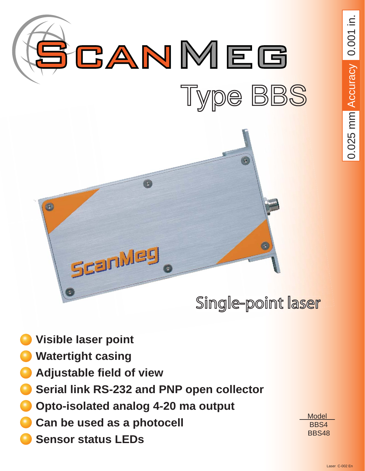

- **laser** point
- **Watertight casing**
- **Adjustable field of view**
- **Serial link RS-232 and PNP open collector**
- **Opto-isolated analog 4-20 ma output**
- **Can be used as a photocell**
- **Sensor status LEDs**

 Model BBS4 BBS48 0.025 mm Accuracy 0.001 in. 0.025 mm  $\triangle$ ccurac $\vee$  0.001 in.